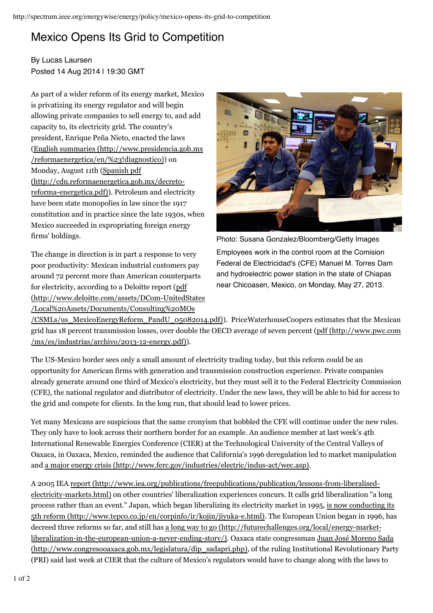## Mexico Opens Its Grid to Competition

## By Lucas Laursen Posted 14 Aug 2014 | 19:30 GMT

As part of a wider reform of its energy market, Mexico is privatizing its energy regulator and will begin allowing private companies to sell energy to, and add capacity to, its electricity grid. The country's president, Enrique Peña Nieto, enacted the laws ( English summaries (http://www.presidencia.gob.mx /reformaenergetica/en/%23!diagnostico)) on Monday, August 11th ( Spanish pdf reforma-energetica.pdf)). Petroleum and electricity have been state monopolies in law since the 1917 constitution and in practice since the late 1930s, when Mexico succeeded in expropriating foreign energy firms' holdings. (http://cdn.reformaenergetica.gob.mx/decreto-

The change in direction is in part a response to very poor productivity: Mexican industrial customers pay around 72 percent more than American counterparts for electricity, according to a Deloitte report ( pdf (http://www.deloitte.com/assets/DCom-UnitedStates /Local%20Assets/Documents/Consulting%20MOs



Photo: Susana Gonzalez/Bloomberg/Getty Images Employees work in the control room at the Comision Federal de Electricidad's (CFE) Manuel M. Torres Dam and hydroelectric power station in the state of Chiapas near Chicoasen, Mexico, on Monday, May 27, 2013.

(CSMLs/us\_MexicoEnergyReform\_PandU\_05082014.pdf)). PriceWaterhouseCoopers estimates that the Mexican grid has 18 percent transmission losses, over double the OECD average of seven percent ( pdf (http://www.pwc.com ). /mx/es/industrias/archivo/2013-12-energy.pdf)

The US-Mexico border sees only a small amount of electricity trading today, but this reform could be an opportunity for American firms with generation and transmission construction experience. Private companies already generate around one third of Mexico's electricity, but they must sell it to the Federal Electricity Commission (CFE), the national regulator and distributor of electricity. Under the new laws, they will be able to bid for access to the grid and compete for clients. In the long run, that should lead to lower prices.

Yet many Mexicans are suspicious that the same cronyism that hobbled the CFE will continue under the new rules. They only have to look across their northern border for an example. An audience member at last week's 4th International Renewable Energies Conference (CIER) at the Technological University of the Central Valleys of Oaxaca, in Oaxaca, Mexico, reminded the audience that California's 1996 deregulation led to market manipulation and a major energy crisis (http://www.ferc.gov/industries/electric/indus-act/wec.asp).

A 2005 IEA report (http://www.iea.org/publications/freepublications/publication/lessons-from-liberalisedelectricity-markets.html) on other countries' liberalization experiences concurs. It calls grid liberalization "a long process rather than an event." Japan, which began liberalizing its electricity market in 1995, <u>is now conducting its</u> 5th reform (http://www.tepco.co.jp/en/corpinfo/ir/kojin/jiyuka-e.html). The European Union began in 1996, has decreed three reforms so far, and still has a long way to go (http://futurechallenges.org/local/energy-market-<u>liberalization-in-the-european-union-a-never-ending-story/)</u>. Oaxaca state congressman <u>Juan José Moreno Sada</u> (http://www.congresooaxaca.gob.mx/legislatura/dip\_sadapri.php), of the ruling Institutional Revolutionary Party (PRI) said last week at CIER that the culture of Mexico's regulators would have to change along with the laws to